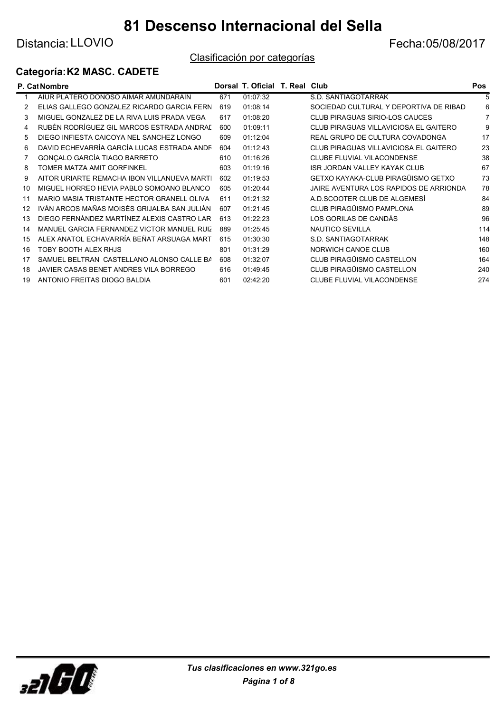Distancia: LLOVIO **Example 2018** 2017

## Clasificación por categorías

### Categoría:K2 MASC. CADETE

|    | P. Cat Nombre                               |     | Dorsal T. Oficial T. Real Club |                                        | Pos |
|----|---------------------------------------------|-----|--------------------------------|----------------------------------------|-----|
|    | AIUR PLATERO DONOSO AIMAR AMUNDARAIN        | 671 | 01:07:32                       | S.D. SANTIAGOTARRAK                    | 5   |
|    | ELIAS GALLEGO GONZALEZ RICARDO GARCIA FERN  | 619 | 01:08:14                       | SOCIEDAD CULTURAL Y DEPORTIVA DE RIBAD | 6   |
| 3  | MIGUEL GONZALEZ DE LA RIVA LUIS PRADA VEGA  | 617 | 01:08:20                       | <b>CLUB PIRAGUAS SIRIO-LOS CAUCES</b>  |     |
| 4  | RUBÉN RODRÍGUEZ GIL MARCOS ESTRADA ANDRAL   | 600 | 01:09:11                       | CLUB PIRAGUAS VILLAVICIOSA EL GAITERO  | g   |
| 5  | DIEGO INFIESTA CAICOYA NEL SANCHEZ LONGO    | 609 | 01:12:04                       | REAL GRUPO DE CULTURA COVADONGA        | 17  |
| 6  | DAVID ECHEVARRÍA GARCÍA LUCAS ESTRADA ANDR  | 604 | 01:12:43                       | CLUB PIRAGUAS VILLAVICIOSA EL GAITERO  | 23  |
|    | GONCALO GARCÍA TIAGO BARRETO                | 610 | 01:16:26                       | CLUBE FLUVIAL VILACONDENSE             | 38  |
| 8  | TOMER MATZA AMIT GORFINKEL                  | 603 | 01:19:16                       | <b>ISR JORDAN VALLEY KAYAK CLUB</b>    | 67  |
| 9  | AITOR URIARTE REMACHA IBON VILLANUEVA MARTI | 602 | 01:19:53                       | GETXO KAYAKA-CLUB PIRAGÜISMO GETXO     | 73  |
| 10 | MIGUEL HORREO HEVIA PABLO SOMOANO BLANCO    | 605 | 01:20:44                       | JAIRE AVENTURA LOS RAPIDOS DE ARRIONDA | 78  |
| 11 | MARIO MASIA TRISTANTE HECTOR GRANELL OLIVA  | 611 | 01:21:32                       | A.D.SCOOTER CLUB DE ALGEMESI           | 84  |
| 12 | IVÁN ARCOS MAÑAS MOISÉS GRIJALBA SAN JULIÁN | 607 | 01:21:45                       | CLUB PIRAGÜISMO PAMPLONA               | 89  |
| 13 | DIEGO FERNÁNDEZ MARTÍNEZ ALEXIS CASTRO LAR  | 613 | 01:22:23                       | LOS GORILAS DE CANDÁS                  | 96  |
| 14 | MANUEL GARCIA FERNANDEZ VICTOR MANUEL RUIZ  | 889 | 01:25:45                       | <b>NAUTICO SEVILLA</b>                 | 114 |
| 15 | ALEX ANATOL ECHAVARRÍA BEÑAT ARSUAGA MART   | 615 | 01:30:30                       | S.D. SANTIAGOTARRAK                    | 148 |
| 16 | TOBY BOOTH ALEX RHJS                        | 801 | 01:31:29                       | NORWICH CANOE CLUB                     | 160 |
| 17 | SAMUEL BELTRAN CASTELLANO ALONSO CALLE BA   | 608 | 01:32:07                       | CLUB PIRAGÜISMO CASTELLON              | 164 |
| 18 | JAVIER CASAS BENET ANDRES VILA BORREGO      | 616 | 01:49:45                       | CLUB PIRAGÜISMO CASTELLON              | 240 |
| 19 | ANTONIO FREITAS DIOGO BALDIA                | 601 | 02:42:20                       | <b>CLUBE FLUVIAL VILACONDENSE</b>      | 274 |

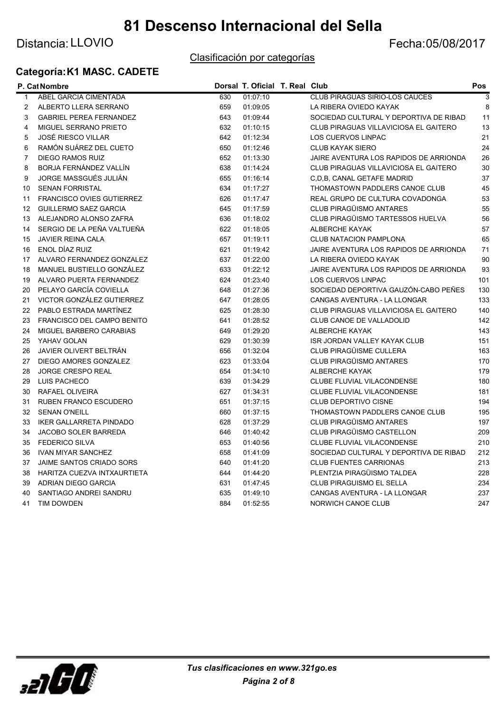## Distancia: LLOVIO **Example 2018** 2017

#### Clasificación por categorías

### Categoría:K1 MASC. CADETE

|              | P. Cat Nombre                    |     | Dorsal T. Oficial T. Real Club |                                        | Pos                       |
|--------------|----------------------------------|-----|--------------------------------|----------------------------------------|---------------------------|
| $\mathbf{1}$ | ABEL GARCIA CIMENTADA            | 630 | 01:07:10                       | <b>CLUB PIRAGUAS SIRIO-LOS CAUCES</b>  | $\overline{\overline{3}}$ |
| 2            | ALBERTO LLERA SERRANO            | 659 | 01:09:05                       | LA RIBERA OVIEDO KAYAK                 | 8                         |
| 3            | <b>GABRIEL PEREA FERNANDEZ</b>   | 643 | 01:09:44                       | SOCIEDAD CULTURAL Y DEPORTIVA DE RIBAD | 11                        |
| 4            | MIGUEL SERRANO PRIETO            | 632 | 01:10:15                       | CLUB PIRAGUAS VILLAVICIOSA EL GAITERO  | 13                        |
| 5            | <b>JOSÉ RIESCO VILLAR</b>        | 642 | 01:12:34                       | <b>LOS CUERVOS LINPAC</b>              | 21                        |
| 6            | RAMÓN SUÁREZ DEL CUETO           | 650 | 01:12:46                       | <b>CLUB KAYAK SIERO</b>                | 24                        |
| 7            | DIEGO RAMOS RUIZ                 | 652 | 01:13:30                       | JAIRE AVENTURA LOS RAPIDOS DE ARRIONDA | 26                        |
| 8            | BORJA FERNÁNDEZ VALLÍN           | 638 | 01:14:24                       | CLUB PIRAGUAS VILLAVICIOSA EL GAITERO  | 30                        |
| 9            | JORGE MASSGUÉS JULIÁN            | 655 | 01:16:14                       | C.D.B. CANAL GETAFE MADRID             | 37                        |
| 10           | <b>SENAN FORRISTAL</b>           | 634 | 01:17:27                       | THOMASTOWN PADDLERS CANOE CLUB         | 45                        |
| 11           | <b>FRANCISCO OVIES GUTIERREZ</b> | 626 | 01:17:47                       | REAL GRUPO DE CULTURA COVADONGA        | 53                        |
| 12           | <b>GUILLERMO SAEZ GARCIA</b>     | 645 | 01:17:59                       | <b>CLUB PIRAGÜISMO ANTARES</b>         | 55                        |
| 13           | ALEJANDRO ALONSO ZAFRA           | 636 | 01:18:02                       | CLUB PIRAGÜISMO TARTESSOS HUELVA       | 56                        |
| 14           | SERGIO DE LA PEÑA VALTUEÑA       | 622 | 01:18:05                       | <b>ALBERCHE KAYAK</b>                  | 57                        |
| 15           | <b>JAVIER REINA CALA</b>         | 657 | 01:19:11                       | <b>CLUB NATACION PAMPLONA</b>          | 65                        |
| 16           | ENOL DÍAZ RUIZ                   | 621 | 01:19:42                       | JAIRE AVENTURA LOS RAPIDOS DE ARRIONDA | 71                        |
| 17           | ALVARO FERNANDEZ GONZALEZ        | 637 | 01:22:00                       | LA RIBERA OVIEDO KAYAK                 | 90                        |
| 18           | MANUEL BUSTIELLO GONZÁLEZ        | 633 | 01:22:12                       | JAIRE AVENTURA LOS RAPIDOS DE ARRIONDA | 93                        |
| 19           | ALVARO PUERTA FERNANDEZ          | 624 | 01:23:40                       | <b>LOS CUERVOS LINPAC</b>              | 101                       |
| 20           | PELAYO GARCÍA COVIELLA           | 648 | 01:27:36                       | SOCIEDAD DEPORTIVA GAUZÓN-CABO PEÑES   | 130                       |
| 21           | VICTOR GONZÁLEZ GUTIERREZ        | 647 | 01:28:05                       | CANGAS AVENTURA - LA LLONGAR           | 133                       |
| 22           | PABLO ESTRADA MARTÍNEZ           | 625 | 01:28:30                       | CLUB PIRAGUAS VILLAVICIOSA EL GAITERO  | 140                       |
| 23           | FRANCISCO DEL CAMPO BENITO       | 641 | 01:28:52                       | CLUB CANOE DE VALLADOLID               | 142                       |
| 24           | MIGUEL BARBERO CARABIAS          | 649 | 01:29:20                       | <b>ALBERCHE KAYAK</b>                  | 143                       |
| 25           | YAHAV GOLAN                      | 629 | 01:30:39                       | <b>ISR JORDAN VALLEY KAYAK CLUB</b>    | 151                       |
| 26           | JAVIER OLIVERT BELTRÁN           | 656 | 01:32:04                       | <b>CLUB PIRAGÜISME CULLERA</b>         | 163                       |
| 27           | <b>DIEGO AMORES GONZALEZ</b>     | 623 | 01:33:04                       | <b>CLUB PIRAGÜISMO ANTARES</b>         | 170                       |
| 28           | <b>JORGE CRESPO REAL</b>         | 654 | 01:34:10                       | ALBERCHE KAYAK                         | 179                       |
| 29           | LUIS PACHECO                     | 639 | 01:34:29                       | <b>CLUBE FLUVIAL VILACONDENSE</b>      | 180                       |
| 30           | RAFAEL OLIVEIRA                  | 627 | 01:34:31                       | CLUBE FLUVIAL VILACONDENSE             | 181                       |
| 31           | <b>RUBEN FRANCO ESCUDERO</b>     | 651 | 01:37:15                       | <b>CLUB DEPORTIVO CISNE</b>            | 194                       |
| 32           | <b>SENAN O'NEILL</b>             | 660 | 01:37:15                       | THOMASTOWN PADDLERS CANOE CLUB         | 195                       |
| 33           | <b>IKER GALLARRETA PINDADO</b>   | 628 | 01:37:29                       | <b>CLUB PIRAGÜISMO ANTARES</b>         | 197                       |
| 34           | JACOBO SOLER BARREDA             | 646 | 01:40:42                       | CLUB PIRAGÜISMO CASTELLON              | 209                       |
| 35           | <b>FEDERICO SILVA</b>            | 653 | 01:40:56                       | CLUBE FLUVIAL VILACONDENSE             | 210                       |
| 36           | <b>IVAN MIYAR SANCHEZ</b>        | 658 | 01:41:09                       | SOCIEDAD CULTURAL Y DEPORTIVA DE RIBAD | 212                       |
| 37           | JAIME SANTOS CRIADO SORS         | 640 | 01:41:20                       | <b>CLUB FUENTES CARRIONAS</b>          | 213                       |
| 38           | HARITZA CUEZVA INTXAURTIETA      | 644 | 01:44:20                       | PLENTZIA PIRAGÜISMO TALDEA             | 228                       |
| 39           | ADRIAN DIEGO GARCIA              | 631 | 01:47:45                       | <b>CLUB PIRAGUISMO EL SELLA</b>        | 234                       |
| 40           | SANTIAGO ANDREI SANDRU           | 635 | 01:49:10                       | CANGAS AVENTURA - LA LLONGAR           | 237                       |
| 41           | <b>TIM DOWDEN</b>                | 884 | 01:52:55                       | <b>NORWICH CANOE CLUB</b>              | 247                       |

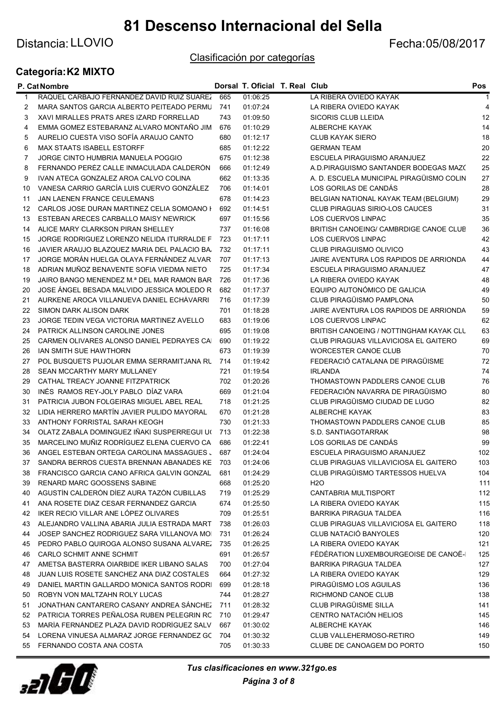## Distancia: LLOVIO **Example 2018** 2017

#### Clasificación por categorías

## Categoría:K2 MIXTO

|    | P. Cat Nombre                                                                         |     | Dorsal T. Oficial T. Real Club |                                                                      | Pos            |
|----|---------------------------------------------------------------------------------------|-----|--------------------------------|----------------------------------------------------------------------|----------------|
| 1  | RAQUEL CARBAJO FERNANDEZ DAVID RUIZ SUAREZ                                            | 665 | 01:06:25                       | LA RIBERA OVIEDO KAYAK                                               |                |
| 2  | MARA SANTOS GARCIA ALBERTO PEITEADO PERMU                                             | 741 | 01:07:24                       | LA RIBERA OVIEDO KAYAK                                               | $\overline{4}$ |
| 3  | XAVI MIRALLES PRATS ARES IZARD FORRELLAD                                              | 743 | 01:09:50                       | <b>SICORIS CLUB LLEIDA</b>                                           | 12             |
| 4  | EMMA GOMEZ ESTEBARANZ ALVARO MONTAÑO JIM                                              | 676 | 01:10:29                       | <b>ALBERCHE KAYAK</b>                                                | 14             |
| 5  | AURELIO CUESTA VISO SOFÍA ARAUJO CANTO                                                | 680 | 01:12:17                       | <b>CLUB KAYAK SIERO</b>                                              | 18             |
| 6  | <b>MAX STAATS ISABELL ESTORFF</b>                                                     | 685 | 01:12:22                       | <b>GERMAN TEAM</b>                                                   | 20             |
| 7  | JORGE CINTO HUMBRIA MANUELA POGGIO                                                    | 675 | 01:12:38                       | ESCUELA PIRAGUISMO ARANJUEZ                                          | 22             |
| 8  | FERNANDO PERÉZ CALLE INMACULADA CALDERÓN                                              | 666 | 01:12:49                       | A.D.PIRAGUISMO SANTANDER BODEGAS MAZO                                | 25             |
| 9  | IVAN ATECA GONZALEZ AROA CALVO COLINA                                                 | 662 | 01:13:35                       | A. D. ESCUELA MUNICIPAL PIRAGÜISMO COLIN                             | 27             |
| 10 | VANESA CARRIO GARCÍA LUIS CUERVO GONZÁLEZ                                             | 706 | 01:14:01                       | LOS GORILAS DE CANDÁS                                                | 28             |
| 11 | <b>JAN LAENEN FRANCE CEULEMANS</b>                                                    | 678 | 01:14:23                       | BELGIAN NATIONAL KAYAK TEAM (BELGIUM)                                | 29             |
| 12 | CARLOS JOSE DURAN MARTINEZ CELIA SOMOANO I                                            | 692 | 01:14:51                       | <b>CLUB PIRAGUAS SIRIO-LOS CAUCES</b>                                | 31             |
| 13 | ESTEBAN ARECES CARBALLO MAISY NEWRICK                                                 | 697 | 01:15:56                       | <b>LOS CUERVOS LINPAC</b>                                            | 35             |
| 14 | ALICE MARY CLARKSON PIRAN SHELLEY                                                     | 737 | 01:16:08                       | BRITISH CANOEING/ CAMBRDIGE CANOE CLUB                               | 36             |
| 15 | JORGE RODRIGUEZ LORENZO NELIDA ITURRALDE F                                            | 723 | 01:17:11                       | LOS CUERVOS LINPAC                                                   | 42             |
| 16 | JAVIER ARAUJO BLAZQUEZ MARIA DEL PALACIO BA                                           | 732 | 01:17:11                       | CLUB PIRAGUISMO OLIVICO                                              | 43             |
| 17 | JORGE MORÁN HUELGA OLAYA FERNÁNDEZ ALVAR                                              | 707 | 01:17:13                       | JAIRE AVENTURA LOS RAPIDOS DE ARRIONDA                               | 44             |
| 18 | ADRIAN MUÑOZ BENAVENTE SOFIA VIEDMA NIETO                                             | 725 | 01:17:34                       | ESCUELA PIRAGUISMO ARANJUEZ                                          | 47             |
| 19 | JAIRO BANGO MENENDEZ M.ª DEL MAR RAMON BAR                                            | 726 | 01:17:36                       | LA RIBERA OVIEDO KAYAK                                               | 48             |
| 20 | JOSE ÁNGEL BESADA MALVIDO JESSICA MOLEDO R                                            | 682 | 01:17:37                       | EQUIPO AUTONÓMICO DE GALICIA                                         | 49             |
| 21 | AURKENE AROCA VILLANUEVA DANIEL ECHÁVARRI                                             | 716 | 01:17:39                       | CLUB PIRAGÜISMO PAMPLONA                                             | 50             |
| 22 | <b>SIMON DARK ALISON DARK</b>                                                         | 701 | 01:18:28                       | JAIRE AVENTURA LOS RAPIDOS DE ARRIONDA                               | 59             |
| 23 | JORGE TEDIN VEGA VICTORIA MARTINEZ AVELLO                                             | 683 | 01:19:06                       | <b>LOS CUERVOS LINPAC</b>                                            | 62             |
| 24 | PATRICK ALLINSON CAROLINE JONES                                                       | 695 | 01:19:08                       | BRITISH CANOEING / NOTTINGHAM KAYAK CLU                              | 63             |
| 25 | CARMEN OLIVARES ALONSO DANIEL PEDRAYES CAI                                            | 690 | 01:19:22                       | CLUB PIRAGUAS VILLAVICIOSA EL GAITERO                                | 69             |
| 26 | <b>IAN SMITH SUE HAWTHORN</b>                                                         | 673 | 01:19:39                       | <b>WORCESTER CANOE CLUB</b>                                          | 70             |
| 27 | POL BUSQUETS PUJOLAR EMMA SERRAMITJANA RU                                             | 714 | 01:19:42                       | FEDERACIÓ CATALANA DE PIRAGÜISME                                     | 72             |
| 28 | SEAN MCCARTHY MARY MULLANEY                                                           | 721 | 01:19:54                       | <b>IRLANDA</b>                                                       | 74             |
| 29 | CATHAL TREACY JOANNE FITZPATRICK                                                      | 702 | 01:20:26                       | THOMASTOWN PADDLERS CANOE CLUB                                       | 76             |
| 30 | INÉS RAMOS REY-JOLY PABLO DÍAZ VARA                                                   | 669 | 01:21:04                       | FEDERACIÓN NAVARRA DE PIRAGÜISMO                                     | 80             |
| 31 | PATRICIA JUBON FOLGEIRAS MIGUEL ABEL REAL                                             | 718 | 01:21:25                       | CLUB PIRAGÜISMO CIUDAD DE LUGO                                       | 82             |
| 32 | LIDIA HERRERO MARTÍN JAVIER PULIDO MAYORAL                                            | 670 | 01:21:28                       | ALBERCHE KAYAK                                                       | 83             |
| 33 | ANTHONY FORRISTAL SARAH KEOGH                                                         | 730 | 01:21:33                       | THOMASTOWN PADDLERS CANOE CLUB                                       | 85             |
| 34 | OLATZ ZABALA DOMINGUEZ IÑAKI SUSPERREGUI U(                                           | 713 | 01:22:38                       | S.D. SANTIAGOTARRAK                                                  | 98             |
|    | MARCELINO MUÑIZ RODRÍGUEZ ELENA CUERVO CA                                             | 686 | 01:22:41                       | LOS GORILAS DE CANDÁS                                                | 99             |
| 35 |                                                                                       |     |                                |                                                                      |                |
| 36 | ANGEL ESTEBAN ORTEGA CAROLINA MASSAGUES J<br>SANDRA BERROS CUESTA BRENNAN ABANADES KE | 687 | 01:24:04                       | ESCUELA PIRAGUISMO ARANJUEZ<br>CLUB PIRAGUAS VILLAVICIOSA EL GAITERO | 102            |
| 37 |                                                                                       | 703 | 01:24:06                       |                                                                      | 103            |
| 38 | FRANCISCO GARCIA CANO AFRICA GALVIN GONZAL                                            | 681 | 01:24:29                       | CLUB PIRAGÜISMO TARTESSOS HUELVA                                     | 104            |
| 39 | <b>RENARD MARC GOOSSENS SABINE</b>                                                    | 668 | 01:25:20                       | H <sub>2</sub> O                                                     | 111            |
| 40 | AGUSTÍN CALDERÓN DÍEZ AURA TAZÓN CUBILLAS                                             | 719 | 01:25:29                       | CANTABRIA MULTISPORT                                                 | 112            |
| 41 | ANA ROSETE DIAZ CESAR FERNANDEZ GARCIA                                                | 674 | 01:25:50                       | LA RIBERA OVIEDO KAYAK                                               | 115            |
| 42 | IKER RECIO VILLAR ANE LÓPEZ OLIVARES                                                  | 709 | 01:25:51                       | <b>BARRIKA PIRAGUA TALDEA</b>                                        | 116            |
| 43 | ALEJANDRO VALLINA ABARIA JULIA ESTRADA MART                                           | 738 | 01:26:03                       | CLUB PIRAGUAS VILLAVICIOSA EL GAITERO                                | 118            |
| 44 | JOSEP SANCHEZ RODRIGUEZ SARA VILLANOVA MOI                                            | 731 | 01:26:24                       | <b>CLUB NATACIÓ BANYOLES</b>                                         | 120            |
| 45 | PEDRO PABLO QUIROGA ALONSO SUSANA ALVAREZ                                             | 735 | 01:26:25                       | LA RIBERA OVIEDO KAYAK                                               | 121            |
| 46 | <b>CARLO SCHMIT ANNE SCHMIT</b>                                                       | 691 | 01:26:57                       | FÉDÉRATION LUXEMBOURGEOISE DE CANOË-                                 | 125            |
| 47 | AMETSA BASTERRA OIARBIDE IKER LIBANO SALAS                                            | 700 | 01:27:04                       | <b>BARRIKA PIRAGUA TALDEA</b>                                        | 127            |
| 48 | JUAN LUIS ROSETE SANCHEZ ANA DIAZ COSTALES                                            | 664 | 01:27:32                       | LA RIBERA OVIEDO KAYAK                                               | 129            |
| 49 | DANIEL MARTIN GALLARDO MONICA SANTOS RODRI                                            | 699 | 01:28:18                       | PIRAGÜISMO LOS AGUILAS                                               | 136            |
| 50 | ROBYN VON MALTZAHN ROLY LUCAS                                                         | 744 | 01:28:27                       | RICHMOND CANOE CLUB                                                  | 138            |
| 51 | JONATHAN CANTARERO CASANY ANDREA SANCHEZ                                              | 711 | 01:28:32                       | CLUB PIRAGÜISME SILLA                                                | 141            |
| 52 | PATRICIA TORRES PEÑALOSA RUBEN PELEGRIN RC                                            | 710 | 01:29:47                       | <b>CENTRO NATACIÓN HELIOS</b>                                        | 145            |
| 53 | MARÍA FERNÁNDEZ PLAZA DAVID RODRÍGUEZ SALV.                                           | 667 | 01:30:02                       | <b>ALBERCHE KAYAK</b>                                                | 146            |
| 54 | LORENA VINUESA ALMARAZ JORGE FERNANDEZ GC                                             | 704 | 01:30:32                       | CLUB VALLEHERMOSO-RETIRO                                             | 149            |
| 55 | FERNANDO COSTA ANA COSTA                                                              | 705 | 01:30:33                       | CLUBE DE CANOAGEM DO PORTO                                           | 150            |

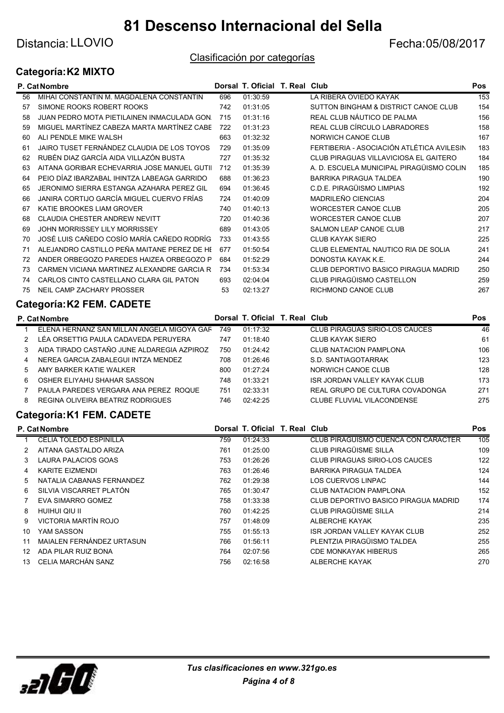# Distancia: LLOVIO **Example 2018** 2017

#### Clasificación por categorías

## Categoría:K2 MIXTO

|    | P. Cat Nombre                               |     | Dorsal T. Oficial T. Real Club |                                           | Pos |
|----|---------------------------------------------|-----|--------------------------------|-------------------------------------------|-----|
| 56 | MIHAI CONSTANTIN M. MAGDALENA CONSTANTIN    | 696 | 01:30:59                       | LA RIBERA OVIEDO KAYAK                    | 153 |
| 57 | SIMONE ROOKS ROBERT ROOKS                   | 742 | 01:31:05                       | SUTTON BINGHAM & DISTRICT CANOE CLUB      | 154 |
| 58 | JUAN PEDRO MOTA PIETILAINEN INMACULADA GON. | 715 | 01:31:16                       | REAL CLUB NÁUTICO DE PALMA                | 156 |
| 59 | MIGUEL MARTÍNEZ CABEZA MARTA MARTÍNEZ CABE  | 722 | 01:31:23                       | REAL CLUB CÍRCULO LABRADORES              | 158 |
| 60 | ALI PENDLE MIKE WALSH                       | 663 | 01:32:32                       | NORWICH CANOE CLUB                        | 167 |
| 61 | JAIRO TUSET FERNÁNDEZ CLAUDIA DE LOS TOYOS  | 729 | 01:35:09                       | FERTIBERIA - ASOCIACIÓN ATLÉTICA AVILESIN | 183 |
| 62 | RUBÉN DIAZ GARCÍA AIDA VILLAZÓN BUSTA       | 727 | 01:35:32                       | CLUB PIRAGUAS VILLAVICIOSA EL GAITERO     | 184 |
| 63 | AITANA GORIBAR ECHEVARRIA JOSE MANUEL GUTII | 712 | 01:35:39                       | A. D. ESCUELA MUNICIPAL PIRAGÜISMO COLIN  | 185 |
| 64 | PEIO DÍAZ IBARZABAL IHINTZA LABEAGA GARRIDO | 688 | 01:36:23                       | <b>BARRIKA PIRAGUA TALDEA</b>             | 190 |
| 65 | JERONIMO SIERRA ESTANGA AZAHARA PEREZ GIL   | 694 | 01:36:45                       | C.D.E. PIRAGÜISMO LIMPIAS                 | 192 |
| 66 | JANIRA CORTIJO GARCÍA MIGUEL CUERVO FRÍAS   | 724 | 01:40:09                       | MADRILEÑO CIENCIAS                        | 204 |
| 67 | KATIE BROOKES LIAM GROVER                   | 740 | 01:40:13                       | <b>WORCESTER CANOE CLUB</b>               | 205 |
| 68 | CLAUDIA CHESTER ANDREW NEVITT               | 720 | 01:40:36                       | <b>WORCESTER CANOE CLUB</b>               | 207 |
| 69 | JOHN MORRISSEY LILY MORRISSEY               | 689 | 01:43:05                       | SALMON LEAP CANOE CLUB                    | 217 |
| 70 | JOSÉ LUIS CAÑEDO COSÍO MARÍA CAÑEDO RODRÍG  | 733 | 01:43:55                       | <b>CLUB KAYAK SIERO</b>                   | 225 |
| 71 | ALEJANDRO CASTILLO PEÑA MAITANE PEREZ DE HE | 677 | 01:50:54                       | CLUB ELEMENTAL NAUTICO RIA DE SOLIA       | 241 |
| 72 | ANDER ORBEGOZO PAREDES HAIZEA ORBEGOZO P    | 684 | 01:52:29                       | DONOSTIA KAYAK K.E.                       | 244 |
| 73 | CARMEN VICIANA MARTINEZ ALEXANDRE GARCIA R  | 734 | 01:53:34                       | CLUB DEPORTIVO BASICO PIRAGUA MADRID      | 250 |
| 74 | CARLOS CINTO CASTELLANO CLARA GIL PATON     | 693 | 02:04:04                       | CLUB PIRAGÜISMO CASTELLON                 | 259 |
| 75 | NEIL CAMP ZACHARY PROSSER                   | 53  | 02:13:27                       | RICHMOND CANOE CLUB                       | 267 |

## Categoría:K2 FEM. CADETE

|    | P. Cat Nombre                              |     | Dorsal T. Oficial T. Real Club |                                     | <b>Pos</b> |
|----|--------------------------------------------|-----|--------------------------------|-------------------------------------|------------|
|    | ELENA HERNANZ SAN MILLAN ANGELA MIGOYA GAR | 749 | 01:17:32                       | CLUB PIRAGUAS SIRIO-LOS CAUCES      | 46         |
|    | LÉA ORSETTIG PAULA CADAVEDA PERUYERA       | 747 | 01:18:40                       | CLUB KAYAK SIERO                    | 61         |
|    | AIDA TIRADO CASTAÑO JUNE ALDAREGIA AZPIROZ | 750 | 01:24:42                       | CLUB NATACION PAMPLONA              | 106        |
| 4  | NEREA GARCIA ZABALEGUI INTZA MENDEZ        | 708 | 01:26:46                       | S.D. SANTIAGOTARRAK                 | 123        |
| 5. | AMY BARKER KATIE WALKER                    | 800 | 01.27.24                       | NORWICH CANOE CLUB                  | 128        |
| 6  | OSHER ELIYAHU SHAHAR SASSON                | 748 | 01:33:21                       | <b>ISR JORDAN VALLEY KAYAK CLUB</b> | 173        |
|    | PAULA PAREDES VERGARA ANA PEREZ ROQUE      | 751 | 02:33:31                       | REAL GRUPO DE CULTURA COVADONGA     | 271        |
| 8  | REGINA OLIVEIRA BEATRIZ RODRIGUES          | 746 | 02:42:25                       | CLUBE FLUVIAL VILACONDENSE          | 275        |

## Categoría:K1 FEM. CADETE

|     | P. Cat Nombre                 |     | Dorsal T. Oficial T. Real Club |                                      | <b>Pos</b> |
|-----|-------------------------------|-----|--------------------------------|--------------------------------------|------------|
|     | <b>CELIA TOLEDO ESPINILLA</b> | 759 | 01:24:33                       | CLUB PIRAGÜISMO CUENCA CON CARÁCTER  | 105        |
|     | AITANA GASTALDO ARIZA         | 761 | 01:25:00                       | CLUB PIRAGÜISME SILLA                | 109        |
| 3   | LAURA PALACIOS GOAS           | 753 | 01:26:26                       | CLUB PIRAGUAS SIRIO-LOS CAUCES       | 122        |
| 4   | KARITE EIZMENDI               | 763 | 01:26:46                       | <b>BARRIKA PIRAGUA TALDEA</b>        | 124        |
| 5.  | NATALIA CABANAS FERNANDEZ     | 762 | 01:29:38                       | LOS CUERVOS LINPAC                   | 144        |
| 6   | SILVIA VISCARRET PLATÓN       | 765 | 01:30:47                       | <b>CLUB NATACION PAMPLONA</b>        | 152        |
|     | <b>EVA SIMARRO GOMEZ</b>      | 758 | 01:33:38                       | CLUB DEPORTIVO BASICO PIRAGUA MADRID | 174        |
| 8   | HUIHUI QIU II                 | 760 | 01:42:25                       | CLUB PIRAGÜISME SILLA                | 214        |
| 9   | VICTORIA MARTÍN ROJO          | 757 | 01:48:09                       | ALBERCHE KAYAK                       | 235        |
| 10  | YAM SASSON                    | 755 | 01:55:13                       | ISR JORDAN VALLEY KAYAK CLUB         | 252        |
| 11  | MAIALEN FERNÁNDEZ URTASUN     | 766 | 01:56:11                       | PLENTZIA PIRAGÜISMO TALDEA           | 255        |
| 12. | ADA PILAR RUIZ BONA           | 764 | 02:07:56                       | <b>CDE MONKAYAK HIBERUS</b>          | 265        |
| 13  | CELIA MARCHÁN SANZ            | 756 | 02:16:58                       | ALBERCHE KAYAK                       | 270        |

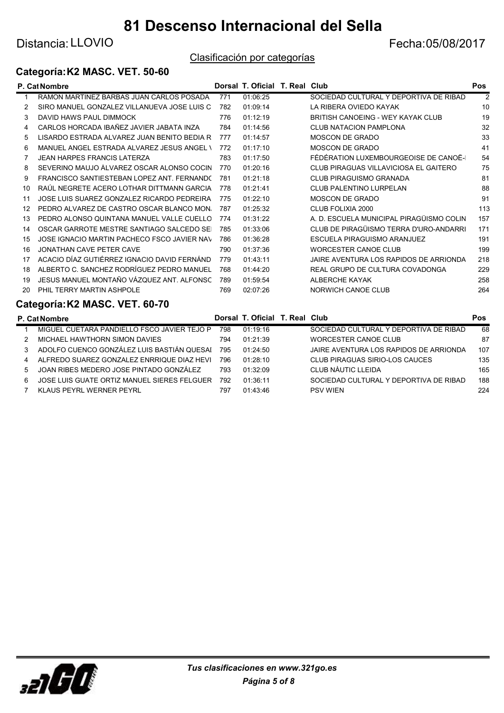Distancia: LLOVIO **Example 2018** 2017

#### Clasificación por categorías

## Categoría:K2 MASC. VET. 50-60

|    | P. Cat Nombre                                |     | Dorsal T. Oficial T. Real Club |                                        | Pos            |
|----|----------------------------------------------|-----|--------------------------------|----------------------------------------|----------------|
|    | RAMON MARTINEZ BARBAS JUAN CARLOS POSADA     | 771 | 01:06:25                       | SOCIEDAD CULTURAL Y DEPORTIVA DE RIBAD | $\mathfrak{p}$ |
| 2  | SIRO MANUEL GONZALEZ VILLANUEVA JOSE LUIS C  | 782 | 01:09:14                       | LA RIBERA OVIEDO KAYAK                 | 10             |
| 3  | DAVID HAWS PAUL DIMMOCK                      | 776 | 01:12:19                       | BRITISH CANOEING - WEY KAYAK CLUB      | 19             |
|    | CARLOS HORCADA IBAÑEZ JAVIER JABATA INZA     | 784 | 01:14:56                       | <b>CLUB NATACION PAMPLONA</b>          | 32             |
| 5  | LISARDO ESTRADA ALVAREZ JUAN BENITO BEDIA R  | 777 | 01:14:57                       | <b>MOSCON DE GRADO</b>                 | 33             |
| 6  | MANUEL ANGEL ESTRADA ALVAREZ JESUS ANGEL \   | 772 | 01:17:10                       | <b>MOSCON DE GRADO</b>                 | 41             |
|    | <b>JEAN HARPES FRANCIS LATERZA</b>           | 783 | 01:17:50                       | FÉDÉRATION LUXEMBOURGEOISE DE CANOË-   | 54             |
| 8  | SEVERINO MAUJO ÁLVAREZ OSCAR ALONSO COCIN    | 770 | 01:20:16                       | CLUB PIRAGUAS VILLAVICIOSA EL GAITERO  | 75             |
| 9  | FRANCISCO SANTIESTEBAN LOPEZ ANT. FERNANDO   | 781 | 01:21:18                       | <b>CLUB PIRAGUISMO GRANADA</b>         | 81             |
| 10 | RAÚL NEGRETE ACERO LOTHAR DITTMANN GARCIA    | 778 | 01:21:41                       | <b>CLUB PALENTINO LURPELAN</b>         | 88             |
| 11 | JOSE LUIS SUAREZ GONZALEZ RICARDO PEDREIRA   | 775 | 01:22:10                       | <b>MOSCON DE GRADO</b>                 | 91             |
| 12 | PEDRO ALVAREZ DE CASTRO OSCAR BLANCO MON.    | 787 | 01:25:32                       | CLUB FOLIXIA 2000                      | 113            |
| 13 | PEDRO ALONSO QUINTANA MANUEL VALLE CUELLO    | 774 | 01:31:22                       | A D ESCUELA MUNICIPAL PIRAGÜISMO COLIN | 157            |
| 14 | OSCAR GARROTE MESTRE SANTIAGO SALCEDO SEI    | 785 | 01:33:06                       | CLUB DE PIRAGÜISMO TERRA D'URO-ANDARRI | 171            |
| 15 | JOSE IGNACIO MARTIN PACHECO FSCO JAVIER NAV  | 786 | 01:36:28                       | ESCUELA PIRAGUISMO ARANJUEZ            | 191            |
| 16 | JONATHAN CAVE PETER CAVE                     | 790 | 01:37:36                       | <b>WORCESTER CANOE CLUB</b>            | 199            |
| 17 | ACACIO DÍAZ GUTIÉRREZ IGNACIO DAVID FERNÁNDI | 779 | 01:43:11                       | JAIRE AVENTURA LOS RAPIDOS DE ARRIONDA | 218            |
| 18 | ALBERTO C. SANCHEZ RODRÍGUEZ PEDRO MANUEL    | 768 | 01:44:20                       | REAL GRUPO DE CULTURA COVADONGA        | 229            |
| 19 | JESUS MANUEL MONTAÑO VÁZQUEZ ANT. ALFONSC    | 789 | 01:59:54                       | ALBERCHE KAYAK                         | 258            |
| 20 | PHIL TERRY MARTIN ASHPOLE                    | 769 | 02:07:26                       | NORWICH CANOE CLUB                     | 264            |
|    |                                              |     |                                |                                        |                |

## Categoría:K2 MASC. VET. 60-70

|   | <b>P. Cat Nombre</b>                        |     | Dorsal T. Oficial T. Real Club |                                        | Pos |
|---|---------------------------------------------|-----|--------------------------------|----------------------------------------|-----|
|   | MIGUEL CUETARA PANDIELLO FSCO JAVIER TEJO P | 798 | 01.19.16                       | SOCIEDAD CULTURAL Y DEPORTIVA DE RIBAD | 68  |
|   | MICHAEL HAWTHORN SIMON DAVIES               | 794 | 01:21:39                       | WORCESTER CANOE CLUB                   | 87  |
| 3 | ADOLFO CUENCO GONZÁLEZ LUIS BASTIÁN QUESAI  | 795 | 01.24.50                       | JAIRE AVENTURA LOS RAPIDOS DE ARRIONDA | 107 |
| 4 | ALFREDO SUAREZ GONZALEZ ENRRIQUE DIAZ HEVI  | 796 | 01:28:10                       | CLUB PIRAGUAS SIRIO-LOS CAUCES         | 135 |
| 5 | JOAN RIBES MEDERO JOSE PINTADO GONZÁLEZ     | 793 | 01.32.09                       | CLUB NÀUTIC LLEIDA                     | 165 |
| 6 | JOSE LUIS GUATE ORTIZ MANUEL SIERES FELGUER | 792 | 01.36.11                       | SOCIEDAD CULTURAL Y DEPORTIVA DE RIBAD | 188 |
|   | KLAUS PEYRL WERNER PEYRL                    | 797 | 01.43.46                       | <b>PSV WIEN</b>                        | 224 |

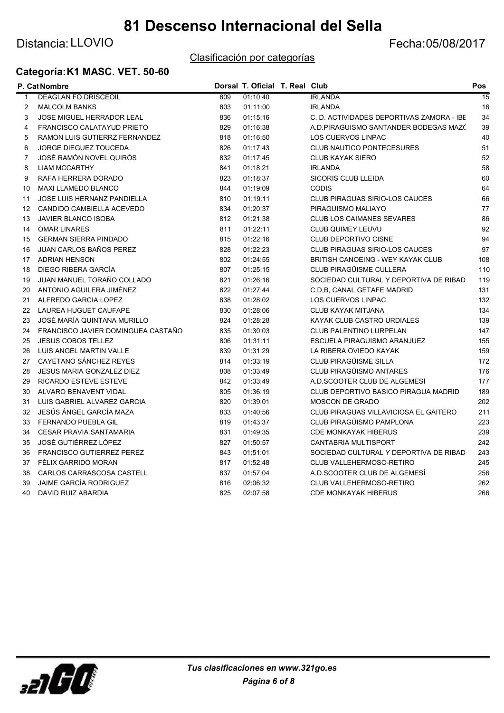## Distancia: LLOVIO **CONTRACTE EXECUTE: CONTRACTE EXECUTATIVE EXECUTATIVE EXECUTATIVE EXECUTATIVE EXECUTATIVE EXECUTATIVE EXECUTATIVE EXECUTATIVE EXECUTATIVE EXECUTATIVE EXECUTATIVE EXECUTATIVE EXECUTATIVE EXECUTATIVE EXECUT**

### Clasificación por categorías

## Categoría:K1 MASC. VET. 50-60

|                 | P. Cat Nombre                      |     | Dorsal T. Oficial T. Real Club |                                           | Pos             |
|-----------------|------------------------------------|-----|--------------------------------|-------------------------------------------|-----------------|
| $\mathbf{1}$    | <b>DEAGLAN FO DRISCEOIL</b>        | 809 | 01:10:40                       | <b>IRLANDA</b>                            | $\overline{15}$ |
| 2               | <b>MALCOLM BANKS</b>               | 803 | 01:11:00                       | <b>IRLANDA</b>                            | 16              |
| 3               | JOSE MIGUEL HERRADOR LEAL          | 836 | 01:15:16                       | C. D. ACTIVIDADES DEPORTIVAS ZAMORA - IBE | 34              |
| 4               | <b>FRANCISCO CALATAYUD PRIETO</b>  | 829 | 01:16:38                       | A.D.PIRAGUISMO SANTANDER BODEGAS MAZO     | 39              |
| 5               | RAMON LUIS GUTIERRZ FERNANDEZ      | 818 | 01:16:50                       | <b>LOS CUERVOS LINPAC</b>                 | 40              |
| 6               | <b>JORGE DIEGUEZ TOUCEDA</b>       | 826 | 01:17:43                       | <b>CLUB NAUTICO PONTECESURES</b>          | 51              |
| $\overline{7}$  | JOSÉ RAMÓN NOVEL QUIRÓS            | 832 | 01:17:45                       | <b>CLUB KAYAK SIERO</b>                   | 52              |
| 8               | <b>LIAM MCCARTHY</b>               | 841 | 01:18:21                       | <b>IRLANDA</b>                            | 58              |
| 9               | RAFA HERRERA DORADO                | 823 | 01:18:37                       | SICORIS CLUB LLEIDA                       | 60              |
| 10              | MAXI LLAMEDO BLANCO                | 844 | 01:19:09                       | <b>CODIS</b>                              | 64              |
| 11              | <b>JOSE LUIS HERNANZ PANDIELLA</b> | 810 | 01:19:11                       | <b>CLUB PIRAGUAS SIRIO-LOS CAUCES</b>     | 66              |
| 12 <sup>°</sup> | CANDIDO CAMBIELLA ACEVEDO          | 834 | 01:20:37                       | PIRAGUISMO MALIAYO                        | 77              |
| 13              | <b>JAVIER BLANCO ISOBA</b>         | 812 | 01:21:38                       | <b>CLUB LOS CAIMANES SEVARES</b>          | 86              |
| 14              | <b>OMAR LINARES</b>                | 811 | 01:22:11                       | <b>CLUB QUIMEY LEUVU</b>                  | 92              |
| 15              | <b>GERMAN SIERRA PINDADO</b>       | 815 | 01:22:16                       | <b>CLUB DEPORTIVO CISNE</b>               | 94              |
| 16              | JUAN CARLOS BAÑOS PEREZ            | 828 | 01:22:23                       | <b>CLUB PIRAGUAS SIRIO-LOS CAUCES</b>     | 97              |
|                 | 17 ADRIAN HENSON                   | 802 | 01:24:55                       | <b>BRITISH CANOEING - WEY KAYAK CLUB</b>  | 108             |
| 18              | DIEGO RIBERA GARCÍA                | 807 | 01:25:15                       | CLUB PIRAGÜISME CULLERA                   | 110             |
| 19              | JUAN MANUEL TORAÑO COLLADO         | 821 | 01:26:16                       | SOCIEDAD CULTURAL Y DEPORTIVA DE RIBAD    | 119             |
| 20              | ANTONIO AGUILERA JIMÉNEZ           | 822 | 01:27:44                       | C.D.B. CANAL GETAFE MADRID                | 131             |
| 21              | ALFREDO GARCIA LOPEZ               | 838 | 01:28:02                       | <b>LOS CUERVOS LINPAC</b>                 | 132             |
| 22              | LAUREA HUGUET CAUFAPE              | 830 | 01:28:06                       | <b>CLUB KAYAK MITJANA</b>                 | 134             |
| 23              | JOSÉ MARÍA QUINTANA MURILLO        | 824 | 01:28:28                       | KAYAK CLUB CASTRO URDIALES                | 139             |
| 24              | FRANCISCO JAVIER DOMINGUEA CASTAÑO | 835 | 01:30:03                       | CLUB PALENTINO LURPELAN                   | 147             |
| 25              | <b>JESUS COBOS TELLEZ</b>          | 806 | 01:31:11                       | ESCUELA PIRAGUISMO ARANJUEZ               | 155             |
| 26              | LUIS ANGEL MARTIN VALLE            | 839 | 01:31:29                       | LA RIBERA OVIEDO KAYAK                    | 159             |
| 27              | CAYETANO SÁNCHEZ REYES             | 814 | 01:33:19                       | CLUB PIRAGÜISME SILLA                     | 172             |
| 28              | <b>JESUS MARIA GONZALEZ DIEZ</b>   | 808 | 01:33:49                       | <b>CLUB PIRAGÜISMO ANTARES</b>            | 176             |
| 29              | <b>RICARDO ESTEVE ESTEVE</b>       | 842 | 01:33:49                       | A.D.SCOOTER CLUB DE ALGEMESI              | 177             |
| 30              | ALVARO BENAVENT VIDAL              | 805 | 01:36:19                       | CLUB DEPORTIVO BASICO PIRAGUA MADRID      | 189             |
| 31              | LUIS GABRIEL ALVAREZ GARCIA        | 820 | 01:39:01                       | MOSCON DE GRADO                           | 202             |
| 32              | JESÚS ÁNGEL GARCÍA MAZA            | 833 | 01:40:56                       | CLUB PIRAGUAS VILLAVICIOSA EL GAITERO     | 211             |
| 33              | <b>FERNANDO PUEBLA GIL</b>         | 819 | 01:43:37                       | CLUB PIRAGÜISMO PAMPLONA                  | 223             |
| 34              | <b>CESAR PRAVIA SANTAMARIA</b>     | 831 | 01:49:35                       | <b>CDE MONKAYAK HIBERUS</b>               | 239             |
| 35              | JOSÉ GUTIÉRREZ LÓPEZ               | 827 | 01:50:57                       | <b>CANTABRIA MULTISPORT</b>               | 242             |
| 36              | FRANCISCO GUTIERREZ PEREZ          | 843 | 01:51:01                       | SOCIEDAD CULTURAL Y DEPORTIVA DE RIBAD    | 243             |
| 37              | FÉLIX GARRIDO MORAN                | 817 | 01:52:48                       | CLUB VALLEHERMOSO-RETIRO                  | 245             |
| 38              | CARLOS CARRASCOSA CASTELL          | 837 | 01:57:04                       | A.D.SCOOTER CLUB DE ALGEMESI              | 256             |
| 39              | <b>JAIME GARCÍA RODRIGUEZ</b>      | 816 | 02:06:32                       | <b>CLUB VALLEHERMOSO-RETIRO</b>           | 262             |
| 40              | DAVID RUIZ ABARDIA                 | 825 | 02:07:58                       | <b>CDE MONKAYAK HIBERUS</b>               | 266             |

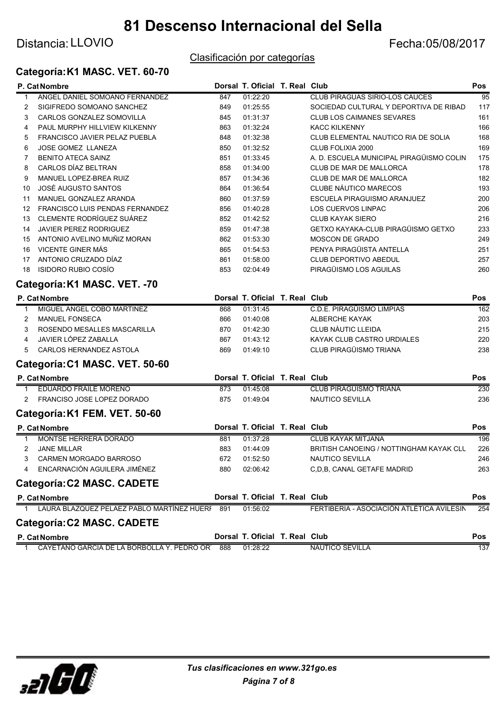## Distancia: LLOVIO **Example 2018** 2017

### Clasificación por categorías

### Categoría:K1 MASC. VET. 60-70

|                | P. Cat Nombre                                  |     | Dorsal T. Oficial T. Real Club |                                           | <b>Pos</b>      |
|----------------|------------------------------------------------|-----|--------------------------------|-------------------------------------------|-----------------|
| 1              | ANGEL DANIEL SOMOANO FERNANDEZ                 | 847 | 01:22:20                       | <b>CLUB PIRAGUAS SIRIO-LOS CAUCES</b>     | $\overline{95}$ |
| 2              | SIGIFREDO SOMOANO SANCHEZ                      | 849 | 01:25:55                       | SOCIEDAD CULTURAL Y DEPORTIVA DE RIBAD    | 117             |
| 3              | CARLOS GONZALEZ SOMOVILLA                      | 845 | 01:31:37                       | <b>CLUB LOS CAIMANES SEVARES</b>          | 161             |
| 4              | PAUL MURPHY HILLVIEW KILKENNY                  | 863 | 01:32:24                       | <b>KACC KILKENNY</b>                      | 166             |
| 5              | FRANCISCO JAVIER PELAZ PUEBLA                  | 848 | 01:32:38                       | CLUB ELEMENTAL NAUTICO RIA DE SOLIA       | 168             |
| 6              | <b>JOSE GOMEZ LLANEZA</b>                      | 850 | 01:32:52                       | CLUB FOLIXIA 2000                         | 169             |
| 7              | <b>BENITO ATECA SAINZ</b>                      | 851 | 01:33:45                       | A. D. ESCUELA MUNICIPAL PIRAGÜISMO COLIN  | 175             |
| 8              | CARLOS DÍAZ BELTRAN                            | 858 | 01:34:00                       | CLUB DE MAR DE MALLORCA                   | 178             |
| 9              | MANUEL LOPEZ-BREA RUIZ                         | 857 | 01:34:36                       | CLUB DE MAR DE MALLORCA                   | 182             |
| 10             | JOSÉ AUGUSTO SANTOS                            | 864 | 01:36:54                       | CLUBE NÁUTICO MARECOS                     | 193             |
| 11             | MANUEL GONZALEZ ARANDA                         | 860 | 01:37:59                       | ESCUELA PIRAGUISMO ARANJUEZ               | 200             |
| 12             | FRANCISCO LUIS PENDAS FERNANDEZ                | 856 | 01:40:28                       | LOS CUERVOS LINPAC                        | 206             |
| 13             | CLEMENTE RODRÍGUEZ SUÁREZ                      | 852 | 01:42:52                       | <b>CLUB KAYAK SIERO</b>                   | 216             |
| 14             | JAVIER PEREZ RODRIGUEZ                         | 859 | 01:47:38                       | GETXO KAYAKA-CLUB PIRAGÜISMO GETXO        | 233             |
| 15             | ANTONIO AVELINO MUÑIZ MORAN                    | 862 | 01:53:30                       | <b>MOSCON DE GRADO</b>                    | 249             |
| 16             | VICENTE GINER MÁS                              | 865 | 01:54:53                       | PENYA PIRAGÜISTA ANTELLA                  | 251             |
| 17             | ANTONIO CRUZADO DÍAZ                           | 861 | 01:58:00                       | CLUB DEPORTIVO ABEDUL                     | 257             |
| 18             | <b>ISIDORO RUBIO COSÍO</b>                     | 853 | 02:04:49                       | PIRAGÜISMO LOS AGUILAS                    | 260             |
|                | Categoría: K1 MASC. VET. - 70                  |     |                                |                                           |                 |
|                | P. Cat Nombre                                  |     | Dorsal T. Oficial T. Real Club |                                           | Pos             |
| 1              | MIGUEL ANGEL COBO MARTINEZ                     | 868 | 01:31:45                       | C.D.E. PIRAGÜISMO LIMPIAS                 | 162             |
| 2              | <b>MANUEL FONSECA</b>                          | 866 | 01:40:08                       | ALBERCHE KAYAK                            | 203             |
| 3              | ROSENDO MESALLES MASCARILLA                    | 870 | 01:42:30                       | <b>CLUB NÀUTIC LLEIDA</b>                 | 215             |
| 4              | JAVIER LÓPEZ ZABALLA                           | 867 | 01:43:12                       | KAYAK CLUB CASTRO URDIALES                | 220             |
| 5              | CARLOS HERNANDEZ ASTOLA                        | 869 | 01:49:10                       | CLUB PIRAGÜISMO TRIANA                    | 238             |
|                | Categoría: C1 MASC. VET. 50-60                 |     |                                |                                           |                 |
|                | P. Cat Nombre                                  |     | Dorsal T. Oficial T. Real Club |                                           | Pos             |
| $\mathbf{1}$   | <b>EDUARDO FRAILE MORENO</b>                   | 873 | 01:45:08                       | <b>CLUB PIRAGÜISMO TRIANA</b>             | 230             |
| $\overline{2}$ | FRANCISO JOSE LOPEZ DORADO                     | 875 | 01:49:04                       | <b>NAUTICO SEVILLA</b>                    | 236             |
|                | Categoría: K1 FEM. VET. 50-60                  |     |                                |                                           |                 |
|                | P. Cat Nombre                                  |     | Dorsal T. Oficial T. Real Club |                                           | Pos             |
| 1              | MONTSE HERRERA DORADO                          | 881 | 01:37:28                       | <b>CLUB KAYAK MITJANA</b>                 | 196             |
| 2              | <b>JANE MILLAR</b>                             | 883 | 01:44:09                       | BRITISH CANOEING / NOTTINGHAM KAYAK CLL   | 226             |
| 3              | CARMEN MORGADO BARROSO                         | 672 | 01:52:50                       | NAUTICO SEVILLA                           | 246             |
|                | ENCARNACIÓN AGUILERA JIMÉNEZ                   | 880 | 02:06:42                       | C, D, B, CANAL GETAFE MADRID              | 263             |
|                | Categoría: C2 MASC. CADETE                     |     |                                |                                           |                 |
|                | P. Cat Nombre                                  |     | Dorsal T. Oficial T. Real Club |                                           | Pos             |
| 1              | LAURA BLAZQUEZ PELAEZ PABLO MARTÍNEZ HUERF 891 |     | 01:56:02                       | FERTIBERIA - ASOCIACIÓN ATLÉTICA AVILESIN | 254             |
|                | Categoría: C2 MASC. CADETE                     |     |                                |                                           |                 |
|                | P. Cat Nombre                                  |     | Dorsal T. Oficial T. Real Club |                                           | Pos             |
| 1              | CAYETANO GARCIA DE LA BORBOLLA Y. PEDRO OR'    | 888 | 01:28:22                       | NAUTICO SEVILLA                           | 137             |